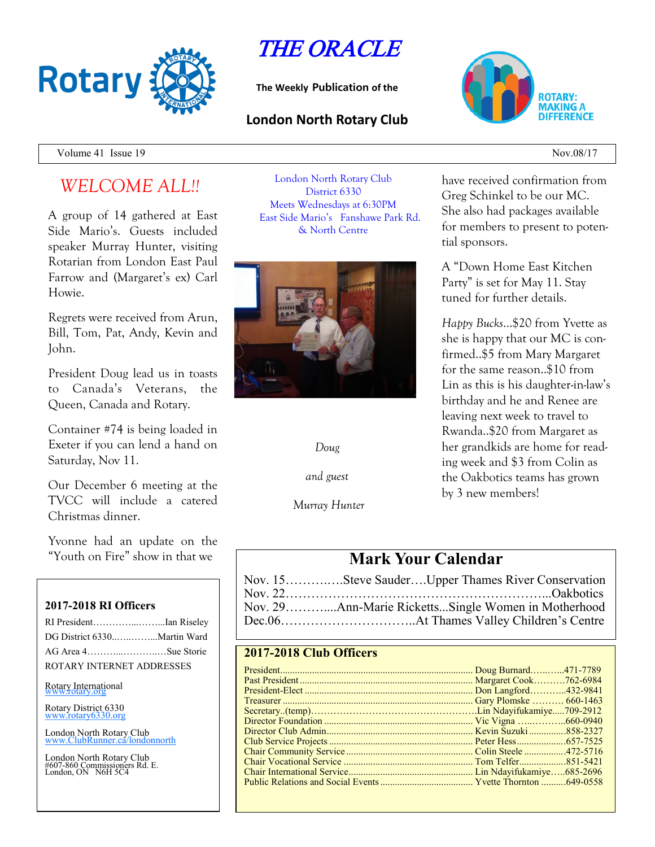

THE ORACLE

**The Weekly Publication of the**

### **London North Rotary Club**



Volume 41 Issue 19  $Nov.08/17$ 

# *WELCOME ALL!!*

A group of 14 gathered at East Side Mario's. Guests included speaker Murray Hunter, visiting Rotarian from London East Paul Farrow and (Margaret's ex) Carl Howie.

Regrets were received from Arun, Bill, Tom, Pat, Andy, Kevin and John.

President Doug lead us in toasts to Canada's Veterans, the Queen, Canada and Rotary.

Container #74 is being loaded in Exeter if you can lend a hand on Saturday, Nov 11.

Our December 6 meeting at the TVCC will include a catered Christmas dinner.

Yvonne had an update on the "Youth on Fire" show in that we

#### **2017-2018 RI Officers**

| RI PresidentIan Riseley     |  |
|-----------------------------|--|
| DG District 6330Martin Ward |  |
| AG Area 4Sue Storie         |  |
| ROTARY INTERNET ADDRESSES   |  |

Rotary International

Rotary District 6330 [www.rotary6330.org](http://www.rotary6330.org/)

London North Rotary Club IubRunner.ca/londonnorth

London North Rotary Club #607-860 Commissioners Rd. E. London, ON N6H 5C4

London North Rotary Club District 6330 Meets Wednesdays at 6:30PM East Side Mario's Fanshawe Park Rd. & North Centre



*Doug*

*and guest*

*Murray Hunter*

have received confirmation from Greg Schinkel to be our MC. She also had packages available for members to present to potential sponsors.

A "Down Home East Kitchen Party" is set for May 11. Stay tuned for further details.

*Happy Bucks*…\$20 from Yvette as she is happy that our MC is confirmed..\$5 from Mary Margaret for the same reason..\$10 from Lin as this is his daughter-in-law's birthday and he and Renee are leaving next week to travel to Rwanda..\$20 from Margaret as her grandkids are home for reading week and \$3 from Colin as the Oakbotics teams has grown by 3 new members!

## **Mark Your Calendar**

| Nov. 15Steve SauderUpper Thames River Conservation |
|----------------------------------------------------|
|                                                    |
|                                                    |
|                                                    |

### **2017-2018 Club Officers**